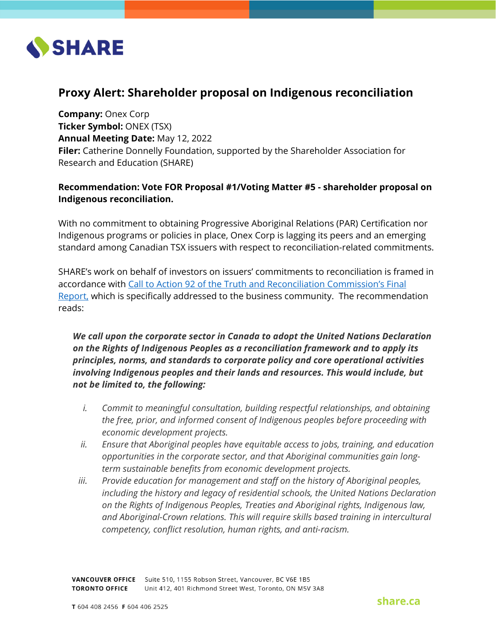

# **Proxy Alert: Shareholder proposal on Indigenous reconciliation**

**Company:** Onex Corp **Ticker Symbol:** ONEX (TSX) **Annual Meeting Date:** May 12, 2022 **Filer:** Catherine Donnelly Foundation, supported by the Shareholder Association for Research and Education (SHARE)

## **Recommendation: Vote FOR Proposal #1/Voting Matter #5 - shareholder proposal on Indigenous reconciliation.**

With no commitment to obtaining Progressive Aboriginal Relations (PAR) Certification nor Indigenous programs or policies in place, Onex Corp is lagging its peers and an emerging standard among Canadian TSX issuers with respect to reconciliation-related commitments.

SHARE's work on behalf of investors on issuers' commitments to reconciliation is framed in accordance with [Call to Action 92 of the Truth and Reconciliation Commission's Final](https://www.rcaanc-cirnac.gc.ca/eng/1524506030545/1557513309443)  [Report,](https://www.rcaanc-cirnac.gc.ca/eng/1524506030545/1557513309443) which is specifically addressed to the business community. The recommendation reads:

*We call upon the corporate sector in Canada to adopt the United Nations Declaration on the Rights of Indigenous Peoples as a reconciliation framework and to apply its principles, norms, and standards to corporate policy and core operational activities involving Indigenous peoples and their lands and resources. This would include, but not be limited to, the following:*

- *i. Commit to meaningful consultation, building respectful relationships, and obtaining the free, prior, and informed consent of Indigenous peoples before proceeding with economic development projects.*
- *ii. Ensure that Aboriginal peoples have equitable access to jobs, training, and education opportunities in the corporate sector, and that Aboriginal communities gain longterm sustainable benefits from economic development projects.*
- *iii. Provide education for management and staff on the history of Aboriginal peoples, including the history and legacy of residential schools, the United Nations Declaration on the Rights of Indigenous Peoples, Treaties and Aboriginal rights, Indigenous law, and Aboriginal-Crown relations. This will require skills based training in intercultural competency, conflict resolution, human rights, and anti-racism.*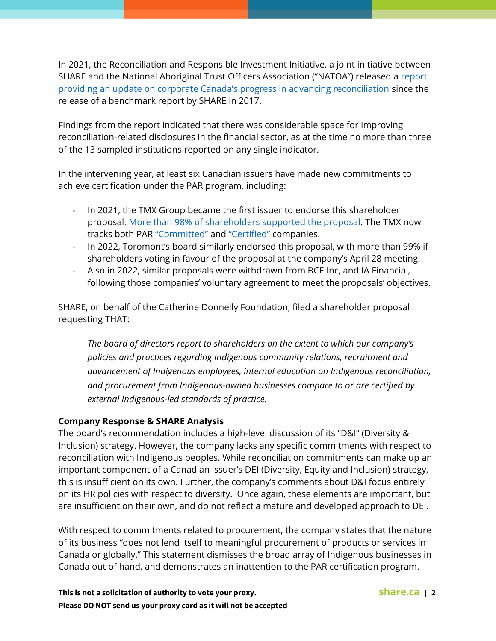In 2021, the Reconciliation and Responsible Investment Initiative, a joint initiative between SHARE and the National Aboriginal Trust Officers Association ("NATOA") released a report [providing an update on corporate Canada's progress in advancing reconciliation](https://reconciliationandinvestment.ca/wp-content/uploads/2021/03/SHARE-RRII-Business-and-Reconciliation_Final-1.pdf) since the release of a benchmark report by SHARE in 2017.

Findings from the report indicated that there was considerable space for improving reconciliation-related disclosures in the financial sector, as at the time no more than three of the 13 sampled institutions reported on any single indicator.

In the intervening year, at least six Canadian issuers have made new commitments to achieve certification under the PAR program, including:

- In 2021, the TMX Group became the first issuer to endorse this shareholder proposa[l. More than 98% of shareholders supported the proposal.](https://share.ca/blog/press-release-tmx-vote-reconcilation/) The TMX now tracks both PAR ["Committed"](https://money.tmx.com/en/stock-list/PAR_COMMITTED_SL) and ["Certified"](https://money.tmx.com/en/stock-list/PAR_CERTIFIED_SL) companies.
- In 2022, Toromont's board similarly endorsed this proposal, with more than 99% if shareholders voting in favour of the proposal at the company's April 28 meeting.
- Also in 2022, similar proposals were withdrawn from BCE Inc, and IA Financial, following those companies' voluntary agreement to meet the proposals' objectives.

SHARE, on behalf of the Catherine Donnelly Foundation, filed a shareholder proposal requesting THAT:

*The board of directors report to shareholders on the extent to which our company's policies and practices regarding Indigenous community relations, recruitment and advancement of Indigenous employees, internal education on Indigenous reconciliation, and procurement from Indigenous-owned businesses compare to or are certified by external Indigenous-led standards of practice.* 

## **Company Response & SHARE Analysis**

The board's recommendation includes a high-level discussion of its "D&I" (Diversity & Inclusion) strategy. However, the company lacks any specific commitments with respect to reconciliation with Indigenous peoples. While reconciliation commitments can make up an important component of a Canadian issuer's DEI (Diversity, Equity and Inclusion) strategy, this is insufficient on its own. Further, the company's comments about D&I focus entirely on its HR policies with respect to diversity. Once again, these elements are important, but are insufficient on their own, and do not reflect a mature and developed approach to DEI.

With respect to commitments related to procurement, the company states that the nature of its business "does not lend itself to meaningful procurement of products or services in Canada or globally." This statement dismisses the broad array of Indigenous businesses in Canada out of hand, and demonstrates an inattention to the PAR certification program.